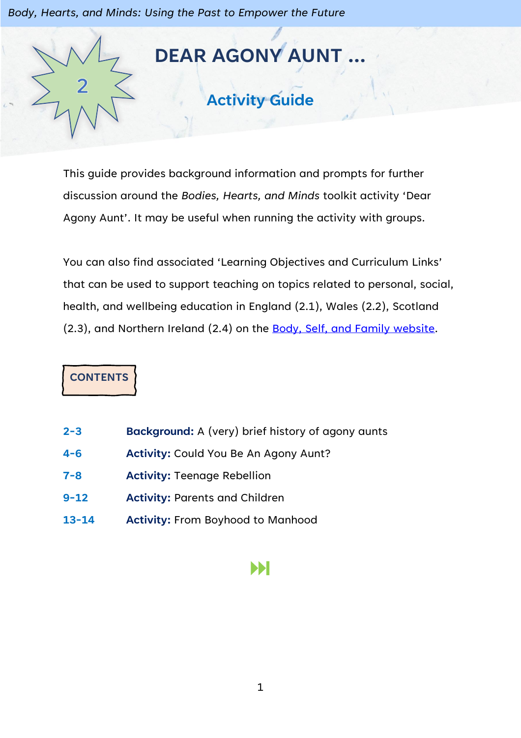*Body, Hearts, and Minds: Using the Past to Empower the Future*



This guide provides background information and prompts for further discussion around the *Bodies, Hearts, and Minds* toolkit activity 'Dear Agony Aunt'. It may be useful when running the activity with groups.

You can also find associated 'Learning Objectives and Curriculum Links' that can be used to support teaching on topics related to personal, social, health, and wellbeing education in England (2.1), Wales (2.2), Scotland (2.3), and Northern Ireland (2.4) on the [Body, Self, and Family website.](https://bodyselffamily.org/)

**CONTENTS**

- **2-3 Background:** A (very) brief history of agony aunts
- **4-6 Activity:** Could You Be An Agony Aunt?
- **7-8 Activity:** Teenage Rebellion
- **9-12 Activity:** Parents and Children
- **13-14 Activity:** From Boyhood to Manhood

## И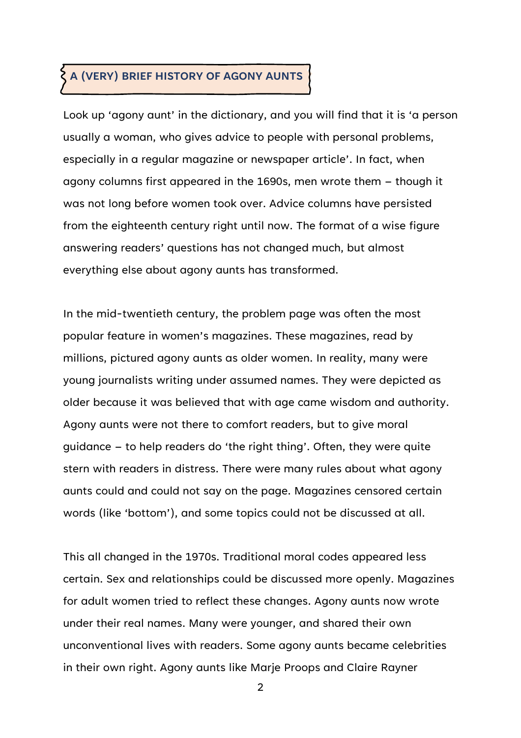# **A (VERY) BRIEF HISTORY OF AGONY AUNTS**

Look up 'agony aunt' in the dictionary, and you will find that it is 'a person usually a woman, who gives advice to people with personal problems, especially in a regular magazine or newspaper article'. In fact, when agony columns first appeared in the 1690s, men wrote them – though it was not long before women took over. Advice columns have persisted from the eighteenth century right until now. The format of a wise figure answering readers' questions has not changed much, but almost everything else about agony aunts has transformed.

In the mid-twentieth century, the problem page was often the most popular feature in women's magazines. These magazines, read by millions, pictured agony aunts as older women. In reality, many were young journalists writing under assumed names. They were depicted as older because it was believed that with age came wisdom and authority. Agony aunts were not there to comfort readers, but to give moral guidance – to help readers do 'the right thing'. Often, they were quite stern with readers in distress. There were many rules about what agony aunts could and could not say on the page. Magazines censored certain words (like 'bottom'), and some topics could not be discussed at all.

This all changed in the 1970s. Traditional moral codes appeared less certain. Sex and relationships could be discussed more openly. Magazines for adult women tried to reflect these changes. Agony aunts now wrote under their real names. Many were younger, and shared their own unconventional lives with readers. Some agony aunts became celebrities in their own right. Agony aunts like Marje Proops and Claire Rayner

2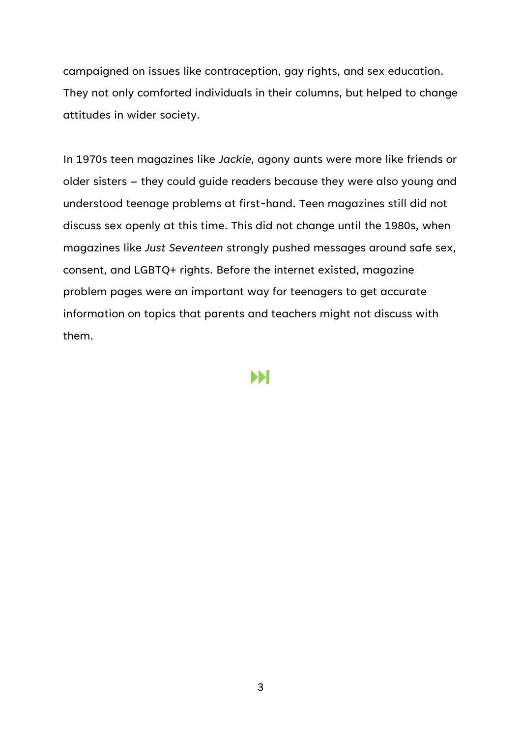campaigned on issues like contraception, gay rights, and sex education. They not only comforted individuals in their columns, but helped to change attitudes in wider society.

In 1970s teen magazines like *Jackie*, agony aunts were more like friends or older sisters – they could guide readers because they were also young and understood teenage problems at first-hand. Teen magazines still did not discuss sex openly at this time. This did not change until the 1980s, when magazines like *Just Seventeen* strongly pushed messages around safe sex, consent, and LGBTQ+ rights. Before the internet existed, magazine problem pages were an important way for teenagers to get accurate information on topics that parents and teachers might not discuss with them.

Ы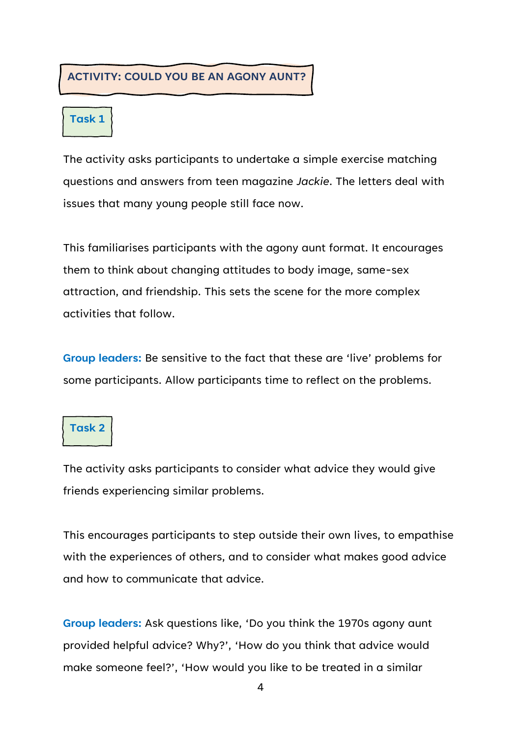#### **ACTIVITY: COULD YOU BE AN AGONY AUNT?**

#### **Task 1**

The activity asks participants to undertake a simple exercise matching questions and answers from teen magazine *Jackie*. The letters deal with issues that many young people still face now.

This familiarises participants with the agony aunt format. It encourages them to think about changing attitudes to body image, same-sex attraction, and friendship. This sets the scene for the more complex activities that follow.

**Group leaders:** Be sensitive to the fact that these are 'live' problems for some participants. Allow participants time to reflect on the problems.

#### **Task 2**

The activity asks participants to consider what advice they would give friends experiencing similar problems.

This encourages participants to step outside their own lives, to empathise with the experiences of others, and to consider what makes good advice and how to communicate that advice.

**Group leaders:** Ask questions like, 'Do you think the 1970s agony aunt provided helpful advice? Why?', 'How do you think that advice would make someone feel?', 'How would you like to be treated in a similar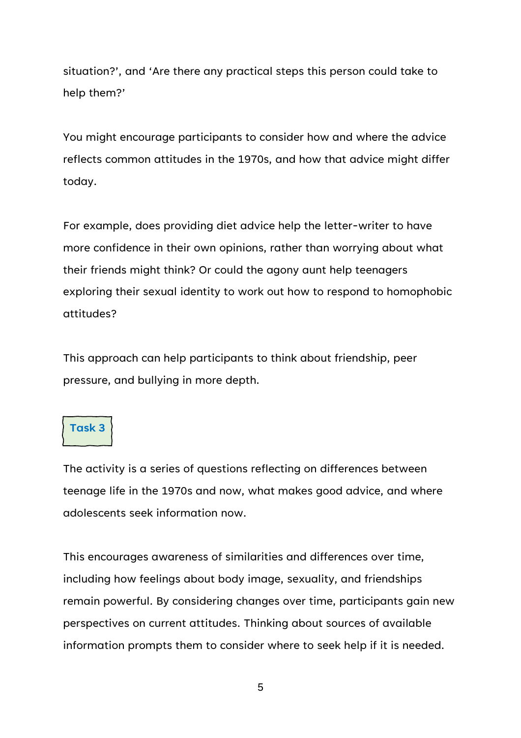situation?', and 'Are there any practical steps this person could take to help them?'

You might encourage participants to consider how and where the advice reflects common attitudes in the 1970s, and how that advice might differ today.

For example, does providing diet advice help the letter-writer to have more confidence in their own opinions, rather than worrying about what their friends might think? Or could the agony aunt help teenagers exploring their sexual identity to work out how to respond to homophobic attitudes?

This approach can help participants to think about friendship, peer pressure, and bullying in more depth.

### **Task 3**

The activity is a series of questions reflecting on differences between teenage life in the 1970s and now, what makes good advice, and where adolescents seek information now.

This encourages awareness of similarities and differences over time, including how feelings about body image, sexuality, and friendships remain powerful. By considering changes over time, participants gain new perspectives on current attitudes. Thinking about sources of available information prompts them to consider where to seek help if it is needed.

5